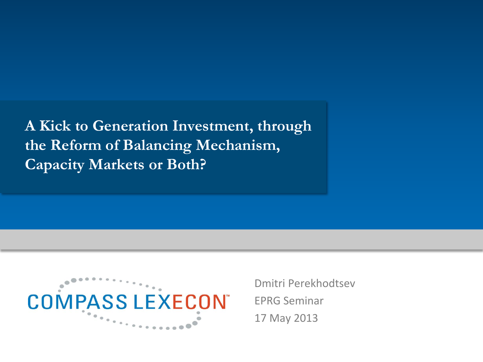**A Kick to Generation Investment, through the Reform of Balancing Mechanism, Capacity Markets or Both?**



Dmitri Perekhodtsev EPRG Seminar 17 May 2013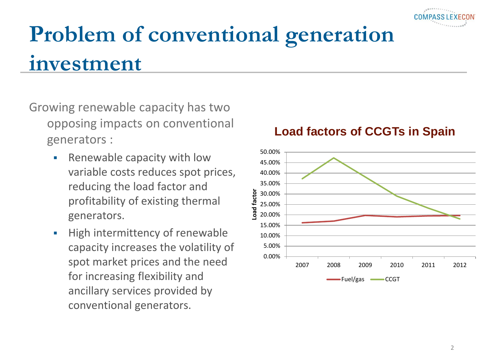# **Problem of conventional generation investment**

- Growing renewable capacity has two opposing impacts on conventional generators :
	- **Renewable capacity with low** variable costs reduces spot prices, reducing the load factor and profitability of existing thermal generators.
	- **High intermittency of renewable** capacity increases the volatility of spot market prices and the need for increasing flexibility and ancillary services provided by conventional generators.

#### **Load factors of CCGTs in Spain**

COMPASS

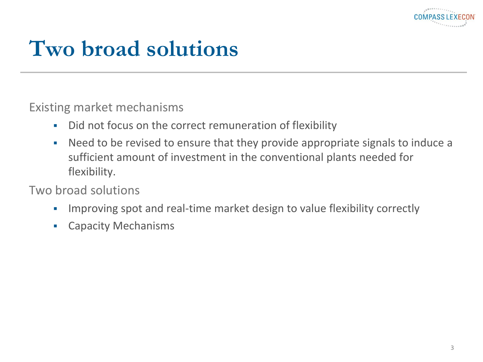

### **Two broad solutions**

Existing market mechanisms

- Did not focus on the correct remuneration of flexibility
- Need to be revised to ensure that they provide appropriate signals to induce a sufficient amount of investment in the conventional plants needed for flexibility.

#### Two broad solutions

- Improving spot and real-time market design to value flexibility correctly
- **Exercicle Capacity Mechanisms**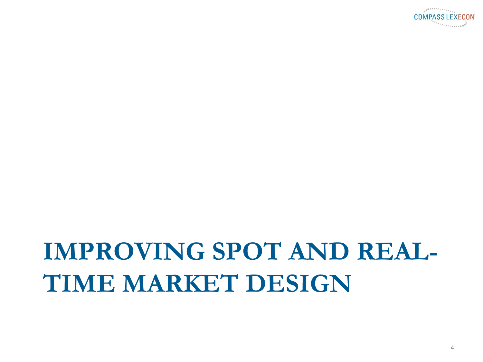

# **IMPROVING SPOT AND REAL-TIME MARKET DESIGN**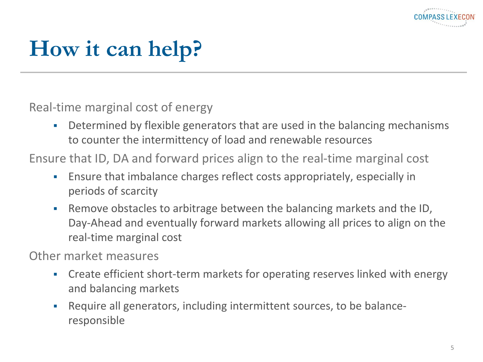

# **How it can help?**

Real-time marginal cost of energy

 Determined by flexible generators that are used in the balancing mechanisms to counter the intermittency of load and renewable resources

Ensure that ID, DA and forward prices align to the real-time marginal cost

- Ensure that imbalance charges reflect costs appropriately, especially in periods of scarcity
- Remove obstacles to arbitrage between the balancing markets and the ID, Day-Ahead and eventually forward markets allowing all prices to align on the real-time marginal cost

Other market measures

- Create efficient short-term markets for operating reserves linked with energy and balancing markets
- Require all generators, including intermittent sources, to be balanceresponsible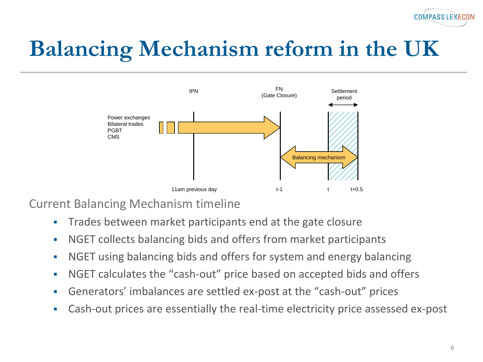

# **Balancing Mechanism reform in the UK**



Current Balancing Mechanism timeline

- **Trades between market participants end at the gate closure**
- NGET collects balancing bids and offers from market participants
- NGET using balancing bids and offers for system and energy balancing
- NGET calculates the "cash-out" price based on accepted bids and offers
- Generators' imbalances are settled ex-post at the "cash-out" prices
- Cash-out prices are essentially the real-time electricity price assessed ex-post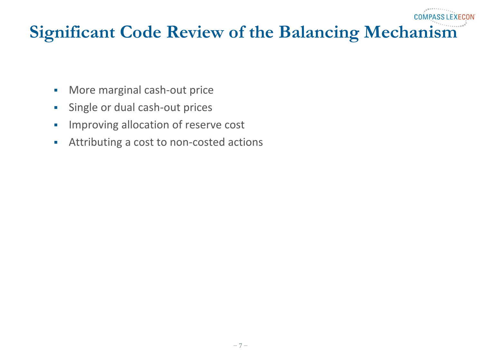#### **Significant Code Review of the Balancing Mechanism**

**COMPASS LEXECON** 

- **More marginal cash-out price**
- **Single or dual cash-out prices**
- **Improving allocation of reserve cost**
- Attributing a cost to non-costed actions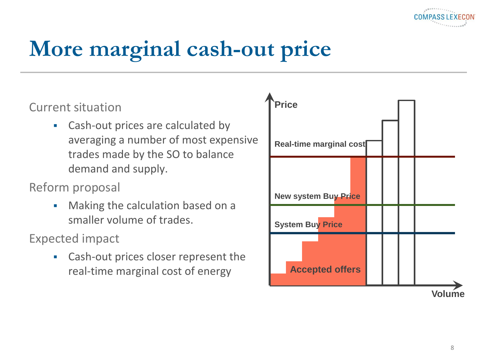

# **More marginal cash-out price**

#### Current situation

• Cash-out prices are calculated by averaging a number of most expensive trades made by the SO to balance demand and supply.

#### Reform proposal

• Making the calculation based on a smaller volume of trades.

Expected impact

 Cash-out prices closer represent the real-time marginal cost of energy

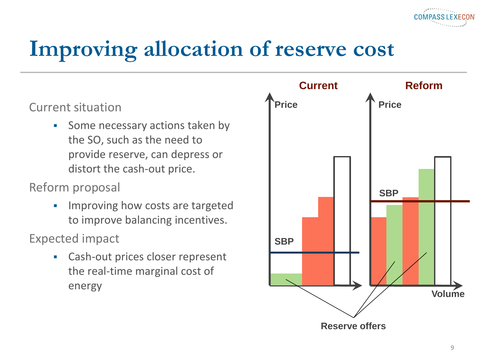

### **Improving allocation of reserve cost**

Current situation

• Some necessary actions taken by the SO, such as the need to provide reserve, can depress or distort the cash-out price.

Reform proposal

**IMPROVING how costs are targeted** to improve balancing incentives.

Expected impact

 Cash-out prices closer represent the real-time marginal cost of energy

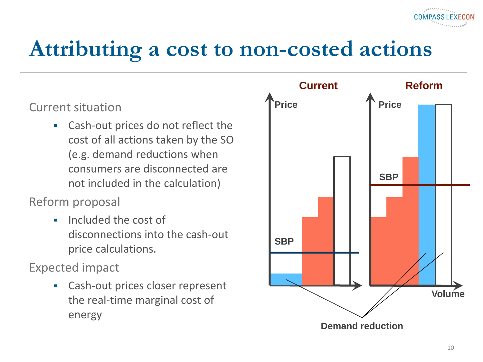### **Attributing a cost to non-costed actions**

Current situation

 Cash-out prices do not reflect the cost of all actions taken by the SO (e.g. demand reductions when consumers are disconnected are not included in the calculation)

Reform proposal

**Included the cost of** disconnections into the cash-out price calculations.

Expected impact

 Cash-out prices closer represent the real-time marginal cost of energy

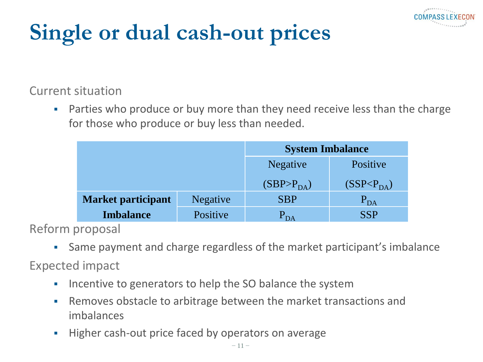

# **Single or dual cash-out prices**

Current situation

**Parties who produce or buy more than they need receive less than the charge** for those who produce or buy less than needed.

|                           |                 | <b>System Imbalance</b>  |                          |
|---------------------------|-----------------|--------------------------|--------------------------|
|                           |                 | <b>Negative</b>          | Positive                 |
|                           |                 | (SBP > P <sub>DA</sub> ) | (SSP < P <sub>DA</sub> ) |
| <b>Market participant</b> | <b>Negative</b> | <b>SBP</b>               | $P_{DA}$                 |
| <b>Imbalance</b>          | Positive        | $P_{DA}$                 | <b>SSP</b>               |

Reform proposal

Same payment and charge regardless of the market participant's imbalance

Expected impact

- **Incentive to generators to help the SO balance the system**
- Removes obstacle to arbitrage between the market transactions and imbalances
- **Higher cash-out price faced by operators on average**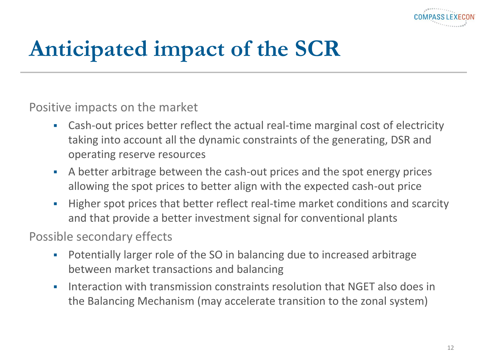

# **Anticipated impact of the SCR**

Positive impacts on the market

- Cash-out prices better reflect the actual real-time marginal cost of electricity taking into account all the dynamic constraints of the generating, DSR and operating reserve resources
- A better arbitrage between the cash-out prices and the spot energy prices allowing the spot prices to better align with the expected cash-out price
- Higher spot prices that better reflect real-time market conditions and scarcity and that provide a better investment signal for conventional plants

Possible secondary effects

- Potentially larger role of the SO in balancing due to increased arbitrage between market transactions and balancing
- **Interaction with transmission constraints resolution that NGET also does in** the Balancing Mechanism (may accelerate transition to the zonal system)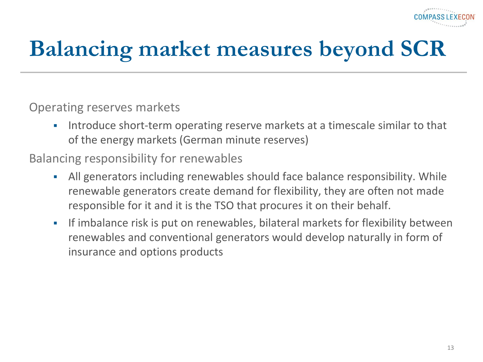# **Balancing market measures beyond SCR**

#### Operating reserves markets

 Introduce short-term operating reserve markets at a timescale similar to that of the energy markets (German minute reserves)

#### Balancing responsibility for renewables

- All generators including renewables should face balance responsibility. While renewable generators create demand for flexibility, they are often not made responsible for it and it is the TSO that procures it on their behalf.
- If imbalance risk is put on renewables, bilateral markets for flexibility between renewables and conventional generators would develop naturally in form of insurance and options products

**COMPASSIFX**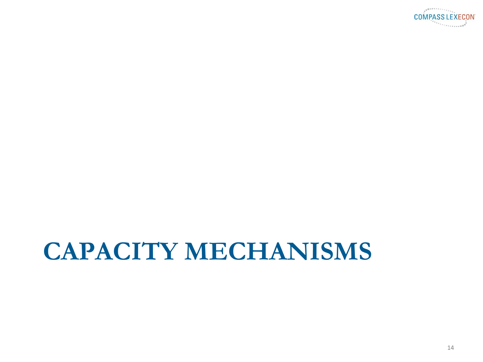

# **CAPACITY MECHANISMS**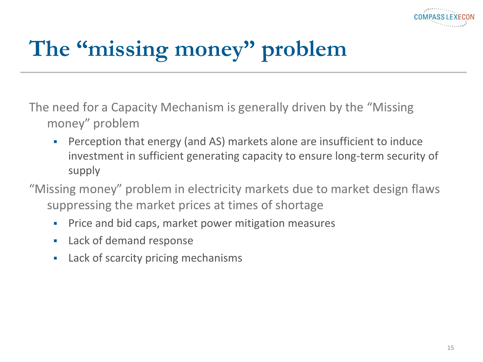

# **The "missing money" problem**

- The need for a Capacity Mechanism is generally driven by the "Missing money" problem
	- Perception that energy (and AS) markets alone are insufficient to induce investment in sufficient generating capacity to ensure long-term security of supply
- "Missing money" problem in electricity markets due to market design flaws suppressing the market prices at times of shortage
	- **Price and bid caps, market power mitigation measures**
	- **Lack of demand response**
	- **Lack of scarcity pricing mechanisms**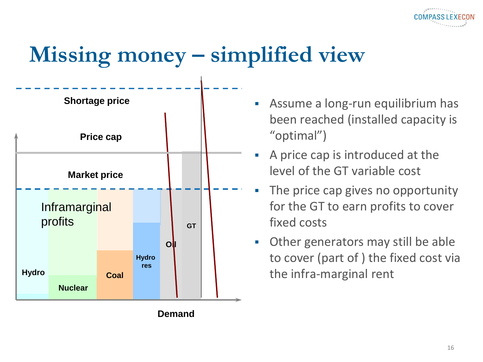

#### **Missing money – simplified view**



- Assume a long-run equilibrium has been reached (installed capacity is "optimal")
- A price cap is introduced at the level of the GT variable cost
- The price cap gives no opportunity for the GT to earn profits to cover fixed costs
- Other generators may still be able to cover (part of ) the fixed cost via the infra-marginal rent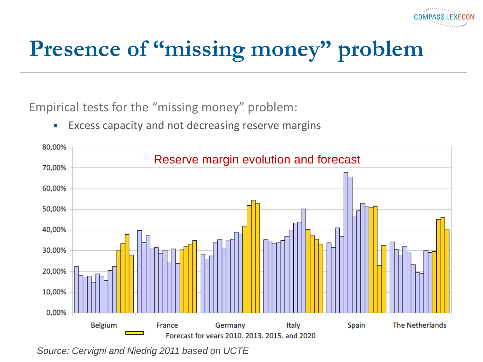# Presence of "missing money" problem

**COMPASS** 

Empirical tests for the "missing money" problem:

**Excess capacity and not decreasing reserve margins** 



*Source: Cervigni and Niedrig 2011 based on UCTE*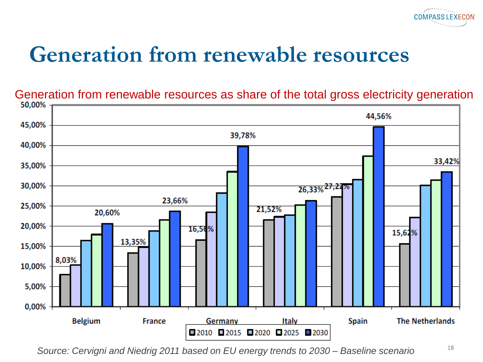#### **Generation from renewable resources**

Generation from renewable resources as share of the total gross electricity generation<br>50,00%

**COMPASS LEXECON** 



*Source: Cervigni and Niedrig 2011 based on EU energy trends to 2030 – Baseline scenario*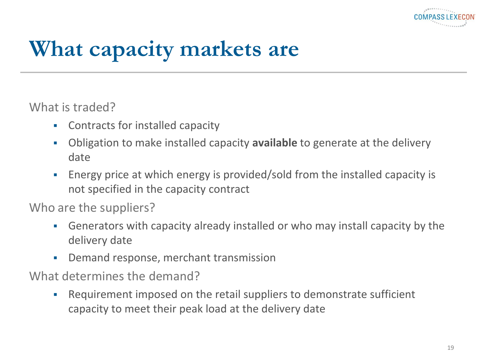

### **What capacity markets are**

What is traded?

- Contracts for installed capacity
- Obligation to make installed capacity **available** to generate at the delivery date
- Energy price at which energy is provided/sold from the installed capacity is not specified in the capacity contract

Who are the suppliers?

- Generators with capacity already installed or who may install capacity by the delivery date
- **-** Demand response, merchant transmission

What determines the demand?

 Requirement imposed on the retail suppliers to demonstrate sufficient capacity to meet their peak load at the delivery date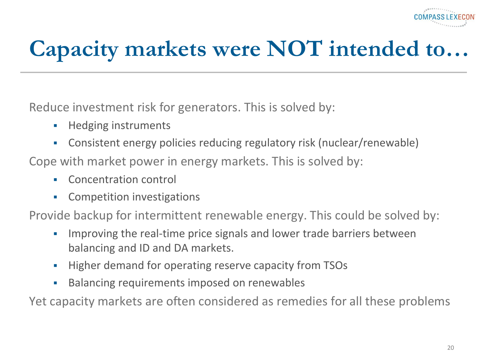

### **Capacity markets were NOT intended to…**

Reduce investment risk for generators. This is solved by:

- **Hedging instruments**
- Consistent energy policies reducing regulatory risk (nuclear/renewable)

Cope with market power in energy markets. This is solved by:

- **EXECONCERTE CONCERTENCE**
- **-** Competition investigations

Provide backup for intermittent renewable energy. This could be solved by:

- Improving the real-time price signals and lower trade barriers between balancing and ID and DA markets.
- **Higher demand for operating reserve capacity from TSOs**
- **Balancing requirements imposed on renewables**

Yet capacity markets are often considered as remedies for all these problems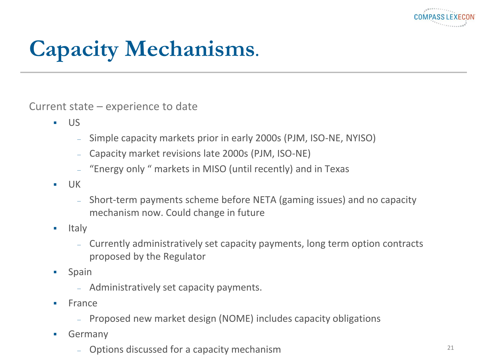

# **Capacity Mechanisms.**

Current state – experience to date

- $\blacksquare$ 
	- Simple capacity markets prior in early 2000s (PJM, ISO-NE, NYISO)
	- Capacity market revisions late 2000s (PJM, ISO-NE)
	- "Energy only " markets in MISO (until recently) and in Texas
- $-$  UK
	- Short-term payments scheme before NETA (gaming issues) and no capacity mechanism now. Could change in future
- **Italy** 
	- Currently administratively set capacity payments, long term option contracts proposed by the Regulator
- **Spain** 
	- Administratively set capacity payments.
- $France$ 
	- Proposed new market design (NOME) includes capacity obligations
- **Germany** 
	- Options discussed for a capacity mechanism <sup>21</sup>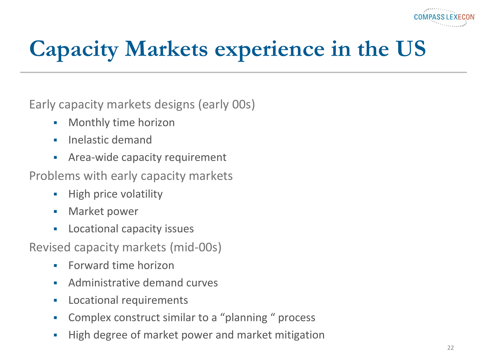

# **Capacity Markets experience in the US**

Early capacity markets designs (early 00s)

- **•** Monthly time horizon
- **Inelastic demand**
- **Area-wide capacity requirement**

Problems with early capacity markets

- **High price volatility**
- **Narket power**
- **Locational capacity issues**

Revised capacity markets (mid-00s)

- **Forward time horizon**
- **Administrative demand curves**
- **Locational requirements**
- Complex construct similar to a "planning " process
- **High degree of market power and market mitigation**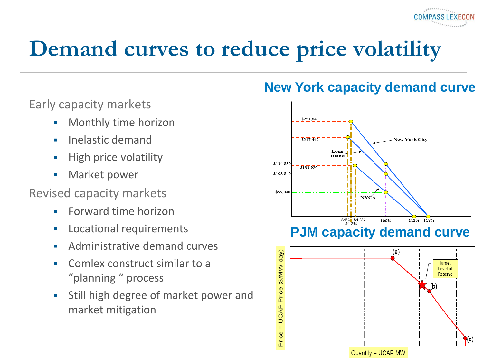Early capacity markets

- **•** Monthly time horizon
- $\blacksquare$  Inelastic demand
- **High price volatility**
- **Narket power**

Revised capacity markets

- **Forward time horizon**
- **Locational requirements**
- **Administrative demand curves**
- **EXECOMEDIATE:** Comlex construct similar to a "planning " process
- Still high degree of market power and market mitigation

#### **New York capacity demand curve**

**COMPASSIFXECON** 



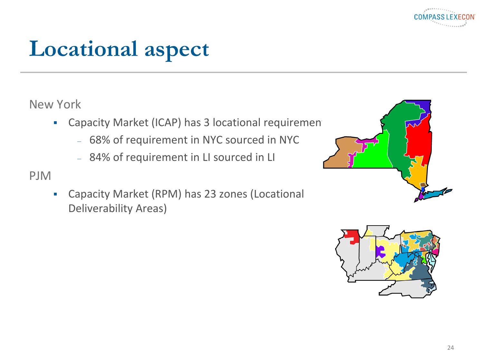

### **Locational aspect**

#### New York

- Capacity Market (ICAP) has 3 locational requirement
	- 68% of requirement in NYC sourced in NYC
	- 84% of requirement in LI sourced in LI

#### PJM

 Capacity Market (RPM) has 23 zones (Locational Deliverability Areas)





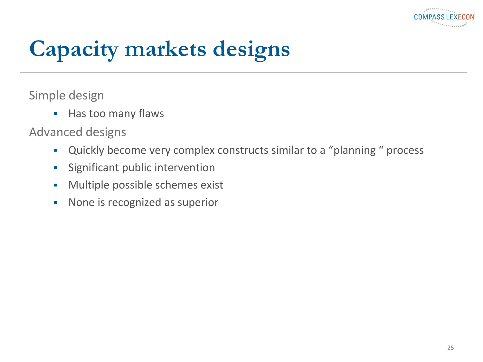

### **Capacity markets designs**

Simple design

**Has too many flaws** 

Advanced designs

- Quickly become very complex constructs similar to a "planning " process
- Significant public intervention
- **Multiple possible schemes exist**
- None is recognized as superior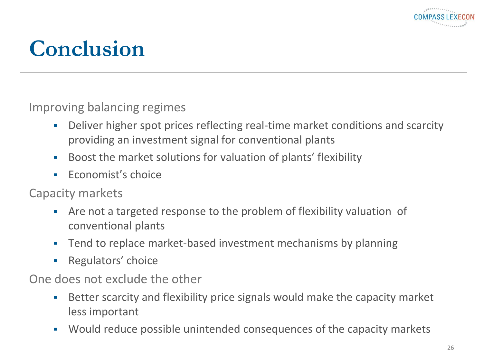

### **Conclusion**

Improving balancing regimes

- Deliver higher spot prices reflecting real-time market conditions and scarcity providing an investment signal for conventional plants
- Boost the market solutions for valuation of plants' flexibility
- **Economist's choice**

Capacity markets

- Are not a targeted response to the problem of flexibility valuation of conventional plants
- **Tend to replace market-based investment mechanisms by planning**
- **Regulators' choice**

One does not exclude the other

- Better scarcity and flexibility price signals would make the capacity market less important
- Would reduce possible unintended consequences of the capacity markets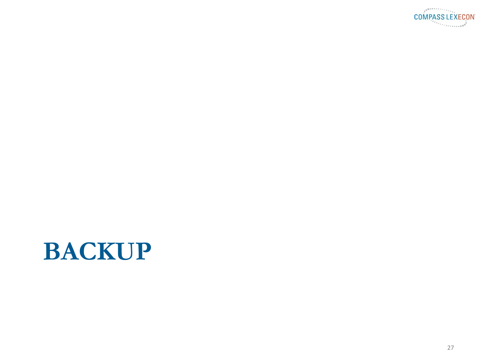

### **BACKUP**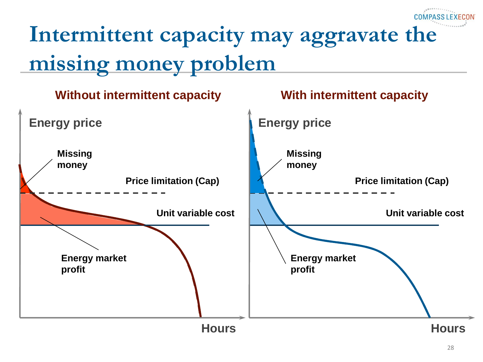# Intermittent capacity may aggravate the **missing money problem**

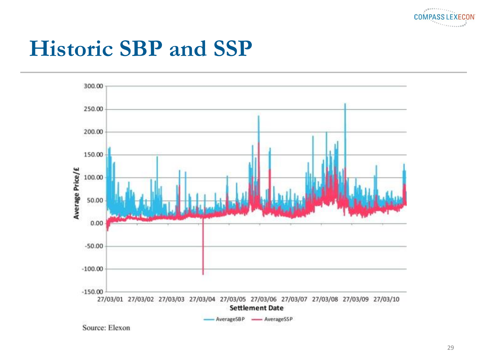

#### **Historic SBP and SSP**